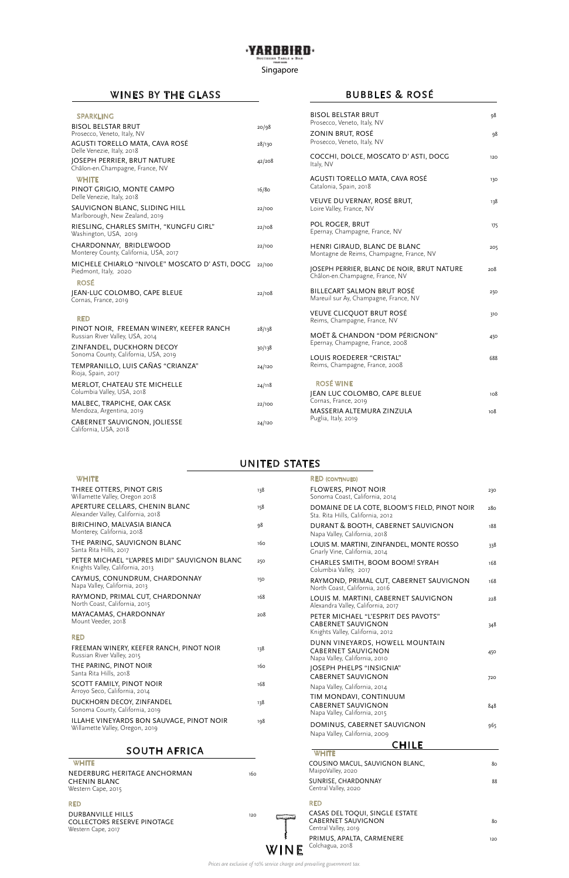| <b>BISOL BELSTAR BRUT</b><br>Prosecco, Veneto, Italy, NV                      | 98  |
|-------------------------------------------------------------------------------|-----|
| ZONIN BRUT, ROSÉ<br>Prosecco, Veneto, Italy, NV                               | 98  |
| COCCHI, DOLCE, MOSCATO D'ASTI, DOCG<br>Italy, NV                              | 120 |
| AGUSTI TORELLO MATA, CAVA ROSÉ<br>Catalonia, Spain, 2018                      | 130 |
| VEUVE DU VERNAY, ROSÉ BRUT,<br>Loire Valley, France, NV                       | 138 |
| POL ROGER, BRUT<br>Epernay, Champagne, France, NV                             | 175 |
| HENRI GIRAUD, BLANC DE BLANC<br>Montagne de Reims, Champagne, France, NV      | 205 |
| JOSEPH PERRIER, BLANC DE NOIR, BRUT NATURE<br>Châlon-en.Champagne, France, NV | 208 |
| <b>BILLECART SALMON BRUT ROSÉ</b><br>Mareuil sur Ay, Champagne, France, NV    | 250 |
| <b>VEUVE CLICQUOT BRUT ROSÉ</b><br>Reims, Champagne, France, NV               | 310 |
| <b>MOËT &amp; CHANDON "DOM PÉRIGNON"</b><br>Epernay, Champagne, France, 2008  | 450 |
| LOUIS ROEDERER "CRISTAL"<br>Reims, Champagne, France, 2008                    | 688 |
| <b>ROSÉ WINE</b>                                                              |     |
| JEAN LUC COLOMBO, CAPE BLEUE<br>Cornas, France, 2019                          | 108 |
| MASSERIA ALTEMURA ZINZULA<br>Puglia, Italy, 2019                              | 108 |

| <b>SPARKLING</b>                                                            |        |
|-----------------------------------------------------------------------------|--------|
| <b>BISOL BELSTAR BRUT</b><br>Prosecco, Veneto, Italy, NV                    | 20/98  |
| AGUSTI TORELLO MATA, CAVA ROSÉ<br>Delle Venezie, Italy, 2018                | 28/130 |
| JOSEPH PERRIER, BRUT NATURE<br>Châlon-en.Champagne, France, NV              | 42/208 |
| <b>WHITE</b>                                                                |        |
| PINOT GRIGIO, MONTE CAMPO<br>Delle Venezie, Italy, 2018                     | 16/80  |
| SAUVIGNON BLANC, SLIDING HILL<br>Marlborough, New Zealand, 2019             | 22/100 |
| RIESLING, CHARLES SMITH, "KUNGFU GIRL"<br>Washington, USA, 2019             | 22/108 |
| CHARDONNAY, BRIDLEWOOD<br>Monterey County, California, USA, 2017            | 22/100 |
| MICHELE CHIARLO "NIVOLE" MOSCATO D' ASTI, DOCG<br>Piedmont, Italy, 2020     | 22/100 |
| <b>ROSÉ</b>                                                                 |        |
| JEAN-LUC COLOMBO, CAPE BLEUE<br>Cornas, France, 2019                        | 22/108 |
| <b>RED</b>                                                                  |        |
| PINOT NOIR, FREEMAN WINERY, KEEFER RANCH<br>Russian River Valley, USA, 2014 | 28/138 |
| ZINFANDEL, DUCKHORN DECOY<br>Sonoma County, California, USA, 2019           | 30/138 |
| TEMPRANILLO, LUIS CAÑAS "CRIANZA"<br>Rioja, Spain, 2017                     | 24/120 |
| MERLOT, CHATEAU STE MICHELLE<br>Columbia Valley, USA, 2018                  | 24/118 |
| MALBEC, TRAPICHE, OAK CASK<br>Mendoza, Argentina, 2019                      | 22/100 |
| <b>CABERNET SAUVIGNON, JOLIESSE</b><br>California, USA, 2018                | 24/120 |

NEDERBURG HERITAGE ANCHORMAN 160 CHENIN BLANC Western Cape, 2015

DURBANVILLE HILLS 120 COLLECTORS RESERVE PINOTAGE Western Cape, 2017

| FREEMAN WINERY, KEEFER RANCH, PINOT NOIR<br>Russian River Valley, 2015      | 138 |
|-----------------------------------------------------------------------------|-----|
| THE PARING, PINOT NOIR<br>Santa Rita Hills, 2018                            | 160 |
| SCOTT FAMILY, PINOT NOIR<br>Arroyo Seco, California, 2014                   | 168 |
| DUCKHORN DECOY, ZINFANDEL<br>Sonoma County, California, 2019                | 138 |
| ILLAHE VINEYARDS BON SAUVAGE, PINOT NOIR<br>Willamette Valley, Oregon, 2019 | 198 |
|                                                                             |     |

## SOUTH AFRICA

#### **WHITE**

| <b>WHITE</b>                                                                     |     | <b>RED (CONTINUED)</b>                                                                               |     |
|----------------------------------------------------------------------------------|-----|------------------------------------------------------------------------------------------------------|-----|
| THREE OTTERS, PINOT GRIS<br>Willamette Valley, Oregon 2018                       | 138 | <b>FLOWERS, PINOT NOIR</b><br>Sonoma Coast, California, 2014                                         | 230 |
| APERTURE CELLARS, CHENIN BLANC<br>Alexander Valley, California, 2018             | 158 | DOMAINE DE LA COTE, BLOOM'S FIELD, PINOT NOIR<br>Sta. Rita Hills, California, 2012                   | 280 |
| BIRICHINO, MALVASIA BIANCA<br>Monterey, California, 2018                         | 98  | DURANT & BOOTH, CABERNET SAUVIGNON<br>Napa Valley, California, 2018                                  | 188 |
| THE PARING, SAUVIGNON BLANC<br>Santa Rita Hills, 2017                            | 160 | LOUIS M. MARTINI, ZINFANDEL, MONTE ROSSO<br>Gnarly Vine, California, 2014                            | 338 |
| PETER MICHAEL "L'APRES MIDI" SAUVIGNON BLANC<br>Knights Valley, California, 2013 | 250 | CHARLES SMITH, BOOM BOOM! SYRAH<br>Columbia Valley, 2017                                             | 168 |
| CAYMUS, CONUNDRUM, CHARDONNAY<br>Napa Valley, California, 2013                   | 150 | RAYMOND, PRIMAL CUT, CABERNET SAUVIGNON<br>North Coast, California, 2016                             | 168 |
| RAYMOND, PRIMAL CUT, CHARDONNAY<br>North Coast, California, 2015                 | 168 | LOUIS M. MARTINI, CABERNET SAUVIGNON<br>Alexandra Valley, California, 2017                           | 228 |
| MAYACAMAS, CHARDONNAY<br>Mount Veeder, 2018<br><b>DED</b>                        | 208 | PETER MICHAEL "L'ESPRIT DES PAVOTS"<br><b>CABERNET SAUVIGNON</b><br>Knights Valley, California, 2012 | 348 |
|                                                                                  |     |                                                                                                      |     |

## WINES BY THE GLASS

### UNITED STATES

# BUBBLES & ROSÉ

#### ·YARDBIRD· SOUTHERN TABLE & BAR

Singapore

*Prices are exclusive of 10% service charge and prevailing government tax.*

**WINE** 

 $\sim$ 

| DUNN VINEYARDS, HOWELL MOUNTAIN<br><b>CABERNET SAUVIGNON</b><br>Napa Valley, California, 2010 | 450 |
|-----------------------------------------------------------------------------------------------|-----|
| JOSEPH PHELPS "INSIGNIA"<br><b>CABERNET SAUVIGNON</b><br>Napa Valley, California, 2014        | 720 |
| TIM MONDAVI, CONTINUUM<br>CABERNET SAUVIGNON<br>Napa Valley, California, 2015                 | 848 |
| DOMINUS, CABERNET SAUVIGNON<br>Napa Valley, California, 2009                                  | 965 |
| CHILE                                                                                         |     |
| <b>WHITE</b>                                                                                  |     |
| COUSINO MACUL, SAUVIGNON BLANC,<br>MaipoValley, 2020                                          | 80  |
| SUNRISE, CHARDONNAY<br>Central Valley, 2020                                                   | 88  |
| <b>RED</b>                                                                                    |     |
| CASAS DEL TOQUI, SINGLE ESTATE<br><b>CABERNET SAUVIGNON</b><br>Central Valley, 2019           | 80  |
| PRIMUS, APALTA, CARMENERE<br>Colchagua, 2018                                                  | 120 |

#### RED